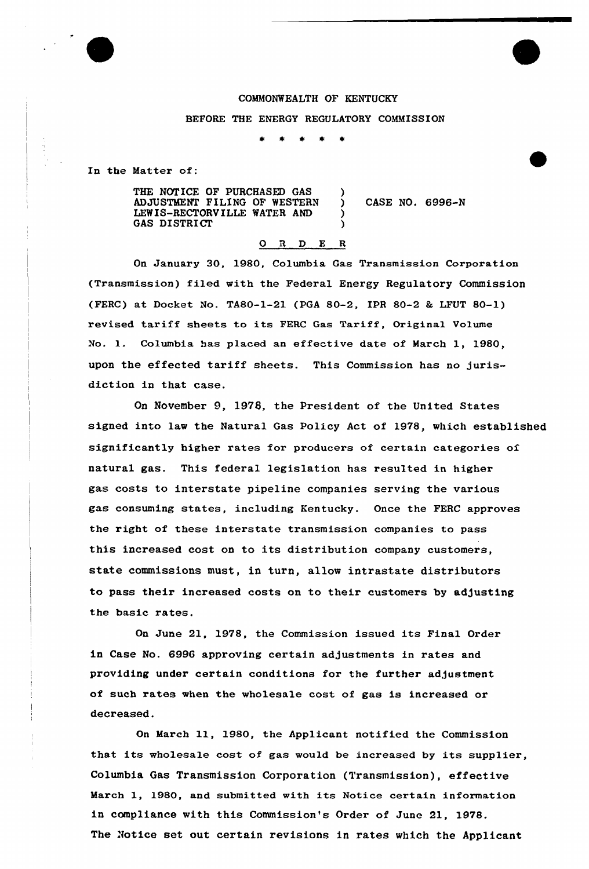

BEFORE THE ENERGY REGULATORY COMMISSION

In the Matter of:

| THE NOTICE OF PURCHASED GAS  |                 |  |
|------------------------------|-----------------|--|
| ADJUSTMENT FILING OF WESTERN | CASE NO. 6996-N |  |
| LEWIS-RECTORVILLE WATER AND  |                 |  |
| <b>GAS DISTRICT</b>          |                 |  |

## 0 <sup>R</sup> <sup>D</sup> E <sup>R</sup>

On January 30, 1980, Columbia Gas Transmission Corporation (Transmission) filed with the Federal Energy Regulatory Commission (FERC) at Docket No. TA80-1-21 (PGA 80-2, IPR 80-2 & LFUT 80-1) revised tariff sheets to its FRRC Gas Tariff, Origina1 Volume No. l. Columbia has placed an effective date of March 1, 1980, upon the effected tariff sheets. This Commission has no jurisdiction in that case.

On November 9, 1978, the president of the United States signed into law the Natural Gas Policy Act of 1978, which established significantly higher rates for producers of certain categories of natural gas. This federal legislation has resulted in higher gas costs to interstate pipeline companies serving the various gas consuming states, including Kentucky. Once the FERC approves the right of these interstate transmission companies to pass this increased cost on to its distribution company customers, state commissions must, in turn, allow intrastate distributors to pass their increased costs on to their customers by adjusting the basic rates,

On June 21, 1978, the Commission issued its Final Order in Case No. 6996 approving certain adjustments in rates and providing under certain conditions for the further adjustment of such xates when the wholesale cost of gas is increased or decreased.

On March 11, 1980, the Applicant notified the Commission that its wholesale cost of gas would be increased by its supplier, Columbia Gas Transmission Corporation (Transmission), effective March 1, 1980, and submitted with its Notice certain information in compliance with this Commission's Order of June 21, 1978. The Notice set out certain revisions in rates which the Applicant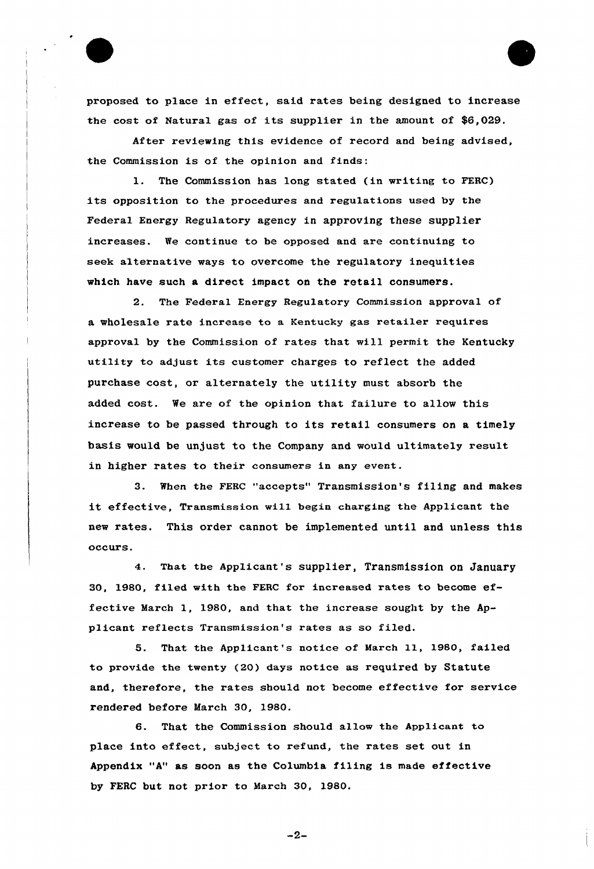

proposed to place in effect, said rates being designed to increase the cost of Natural gas of its supplier in the amount of \$6,029.

After reviewing this evidence of record and being advised, the Commission is of the opinion and finds:

1. The Commission has long stated {in writing to FERC) its opposition to the procedures and regulations used by the Federal Energy Regulatory agency in approving these supplier increases. We continue to be opposed and are continuing to seek alternative ways to overcome the regulatory inequities which have such a direct impact on the retail consumers.

2. The Federal Energy Regulatory Commission approval of a wholesale rate increase to a Kentucky gas retai1er requires approval by the Commission of rates that will permit the Kentucky utility to adjust its customer charges to reflect the added purchase cost, or alternately the utility must absorb the added cost. We are of the opinion that failure to allow this increase to be passed through to its retail consumers on <sup>a</sup> timely basis would be unjust to the Company and would ultimately result in higher rates to their consumers in any event.

3. When the FERC "accepts" Transmission's filing and makes it effective, Transmission will begin charging the Applicant the new rates. This oxder cannot be implemented until and unless this occurs.

4. That the Applicant's supplier, Transmission on January 30, 1980, filed with the FERC for increased rates to become effective March 1, 1980, and that the increase sought by the Applicant reflects Transmission's rates as so filed.

5. That the Applicant's notice of March 11, 1980, failed to provide the twenty (20) days notice as required by Statute and, therefore, the rates should not become effective for service xendered before March 30, 1980.

6. That the Commission should allow the Applicant to place into effect, subject to refund, the rates set out in Appendix "A" as soon as the Columbia filing is made effective by FERC but not prior to March 30, 1980.

 $-2-$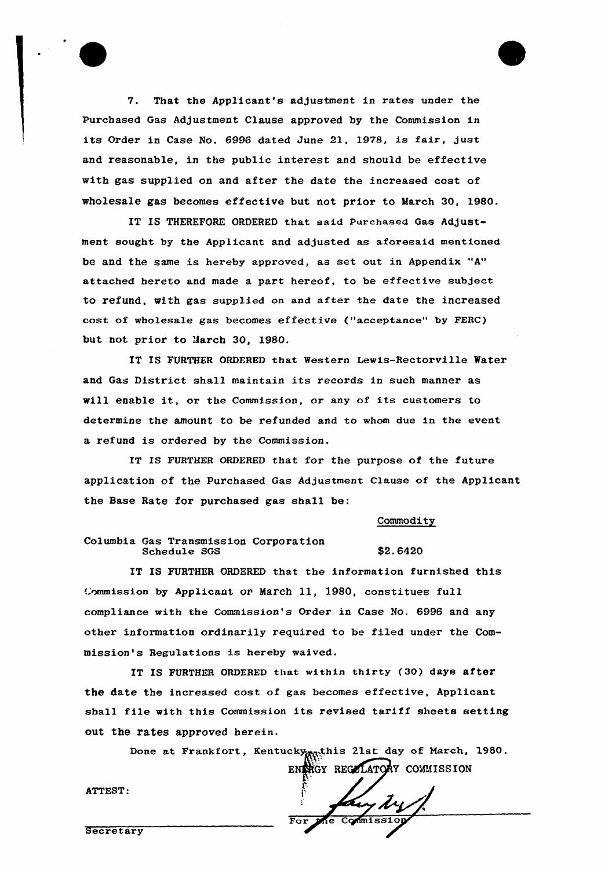V. That the Applicant's adjustment in rates undex the Purchased Gas Adjustment Clause approved by the Commission in its Order in Case No. 6996 dated June 21, 1978, is fair, just and reasonable, in the public interest and should be effective with gas supplied on and after the date the increased cost of wholesale gas becomes effective but not prior to March 30, 1980.

IT IS THEREFORE ORDERED that said Purchased Gas Adjustment sought by the Applicant and adjusted as aforesaid mentioned be and the same is hereby approved, as set out in Appendix "A" attached hereto and made a part hereof, to be effective subject to refund, with gas supplied on and after the date the increased cost of wholesale gas becomes effective ("acceptance" by FERC) but not prior to Jarch 30, 1980.

IT IS FURTHER ORDERED that Western Lewis-Rectorville Water and Gas District shall maintain its records in such manner as will enable it, ox the Commission, or any of its customers to determine the amount to be refunded and to whom due in the event a refund is ordered by the Commission.

IT IS FURTHER ORDERED that for the purpose of the future application of the purchased Gas Adjustment Clause of the Applicant the Base Rate for purchased gas shall be:

Commodity

Columbia Gas Transmission Corporation Schedule SGS \$2.6420

IT IS FURTHER ORDERED that the information furnished this Commission by Applicant or March 11, 1980, constitues full compliance with the Commission's Order in Case No. 6996 and any other information ordinarily required to be filed under the Commission's Regulations is hereby waived.

IT IS FURTHER ORDERED that within thirty (30) days after the date the increased cost of gas becomes effective, Applicant shall file with this Commission its revised tariff sheets setting out the rates approved herein.

> Done at Frankfort, Kentucky<sub>n Rat</sub>his 21st day of March, 1980. ENTRGY REGULATORY COMMISSION

Commiss

ATTEST:

Secretary